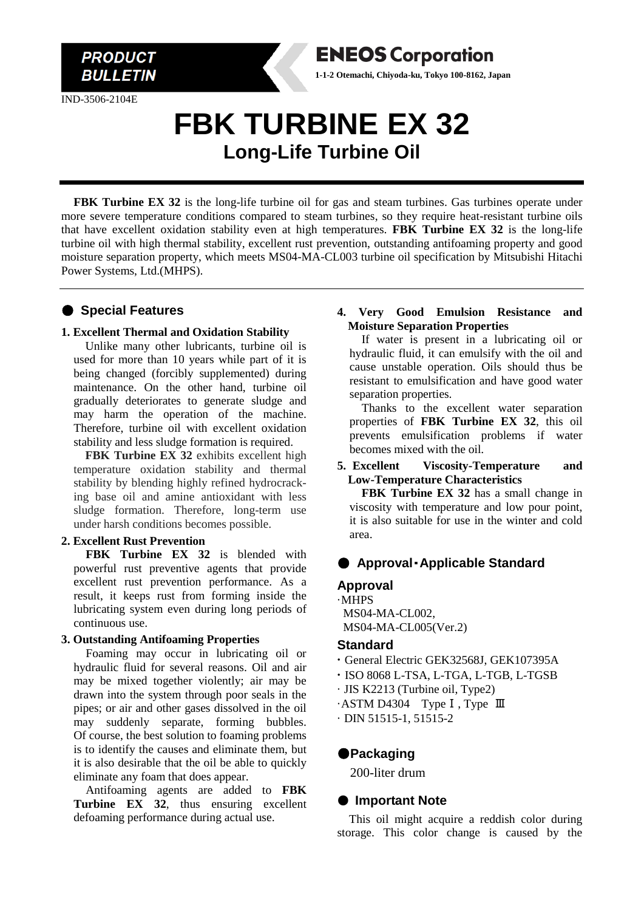

IND-3506-2104E

# **FBK TURBINE EX 32 Long-Life Turbine Oil**

**FBK Turbine EX 32** is the long-life turbine oil for gas and steam turbines. Gas turbines operate under more severe temperature conditions compared to steam turbines, so they require heat-resistant turbine oils that have excellent oxidation stability even at high temperatures. **FBK Turbine EX 32** is the long-life turbine oil with high thermal stability, excellent rust prevention, outstanding antifoaming property and good moisture separation property, which meets MS04-MA-CL003 turbine oil specification by Mitsubishi Hitachi Power Systems, Ltd.(MHPS).

## ● **Special Features**

#### **1. Excellent Thermal and Oxidation Stability**

Unlike many other lubricants, turbine oil is used for more than 10 years while part of it is being changed (forcibly supplemented) during maintenance. On the other hand, turbine oil gradually deteriorates to generate sludge and may harm the operation of the machine. Therefore, turbine oil with excellent oxidation stability and less sludge formation is required.

FBK Turbine EX 32 exhibits excellent high temperature oxidation stability and thermal stability by blending highly refined hydrocracking base oil and amine antioxidant with less sludge formation. Therefore, long-term use under harsh conditions becomes possible.

#### **2. Excellent Rust Prevention**

**FBK Turbine EX 32** is blended with powerful rust preventive agents that provide excellent rust prevention performance. As a result, it keeps rust from forming inside the lubricating system even during long periods of continuous use.

#### **3. Outstanding Antifoaming Properties**

Foaming may occur in lubricating oil or hydraulic fluid for several reasons. Oil and air may be mixed together violently; air may be drawn into the system through poor seals in the pipes; or air and other gases dissolved in the oil may suddenly separate, forming bubbles. Of course, the best solution to foaming problems is to identify the causes and eliminate them, but it is also desirable that the oil be able to quickly eliminate any foam that does appear.

Antifoaming agents are added to **FBK Turbine EX 32**, thus ensuring excellent defoaming performance during actual use.

### **4. Very Good Emulsion Resistance and Moisture Separation Properties**

**ENEOS Corporation 1-1-2 Otemachi, Chiyoda-ku, Tokyo 100-8162, Japan**

> If water is present in a lubricating oil or hydraulic fluid, it can emulsify with the oil and cause unstable operation. Oils should thus be resistant to emulsification and have good water separation properties.

> Thanks to the excellent water separation properties of **FBK Turbine EX 32**, this oil prevents emulsification problems if water becomes mixed with the oil.

#### **5. Excellent Viscosity-Temperature and Low-Temperature Characteristics**

**FBK Turbine EX 32** has a small change in viscosity with temperature and low pour point, it is also suitable for use in the winter and cold area.

# ● **Approval**・**Applicable Standard**

# **Approval**

·MHPS MS04-MA-CL002,

MS04-MA-CL005(Ver.2)

### **Standard**

- **·** General Electric GEK32568J, GEK107395A
- **·** ISO 8068 L-TSA, L-TGA, L-TGB, L-TGSB
- · JIS K2213 (Turbine oil, Type2)
- ·ASTM D4304 TypeⅠ, Type Ⅲ
- $\cdot$  DIN 51515-1, 51515-2

# ●**Packaging**

200-liter drum

# ● **Important Note**

This oil might acquire a reddish color during storage. This color change is caused by the